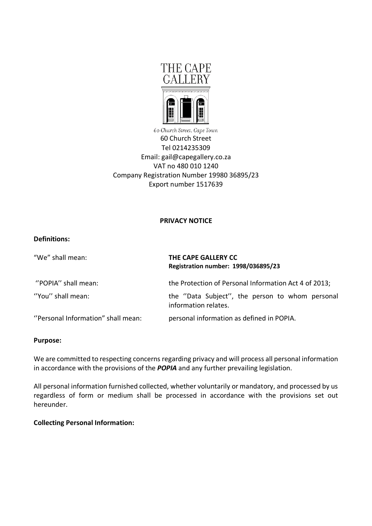

60 Church Street, Cape Town 60 Church Street Tel 0214235309 Email: gail@capegallery.co.za VAT no 480 010 1240 Company Registration Number 19980 36895/23 Export number 1517639

### **PRIVACY NOTICE**

# **Definitions:**

| "We" shall mean:                   | THE CAPE GALLERY CC<br>Registration number: 1998/036895/23              |
|------------------------------------|-------------------------------------------------------------------------|
| "POPIA" shall mean:                | the Protection of Personal Information Act 4 of 2013;                   |
| "You" shall mean:                  | the "Data Subject", the person to whom personal<br>information relates. |
| "Personal Information" shall mean: | personal information as defined in POPIA.                               |

#### **Purpose:**

We are committed to respecting concerns regarding privacy and will process all personal information in accordance with the provisions of the *POPIA* and any further prevailing legislation.

All personal information furnished collected, whether voluntarily or mandatory, and processed by us regardless of form or medium shall be processed in accordance with the provisions set out hereunder.

# **Collecting Personal Information:**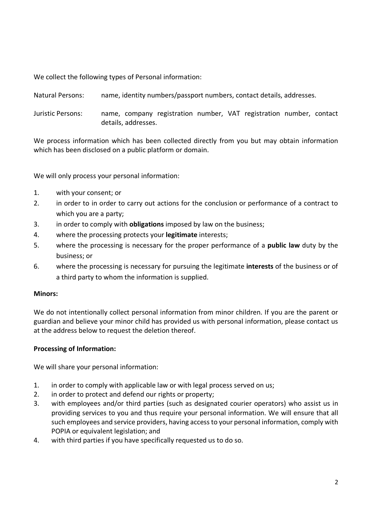We collect the following types of Personal information:

Natural Persons: name, identity numbers/passport numbers, contact details, addresses.

Juristic Persons: name, company registration number, VAT registration number, contact details, addresses.

We process information which has been collected directly from you but may obtain information which has been disclosed on a public platform or domain.

We will only process your personal information:

- 1. with your consent; or
- 2. in order to in order to carry out actions for the conclusion or performance of a contract to which you are a party;
- 3. in order to comply with **obligations** imposed by law on the business;
- 4. where the processing protects your **legitimate** interests;
- 5. where the processing is necessary for the proper performance of a **public law** duty by the business; or
- 6. where the processing is necessary for pursuing the legitimate **interests** of the business or of a third party to whom the information is supplied.

#### **Minors:**

We do not intentionally collect personal information from minor children. If you are the parent or guardian and believe your minor child has provided us with personal information, please contact us at the address below to request the deletion thereof.

# **Processing of Information:**

We will share your personal information:

- 1. in order to comply with applicable law or with legal process served on us;
- 2. in order to protect and defend our rights or property;
- 3. with employees and/or third parties (such as designated courier operators) who assist us in providing services to you and thus require your personal information. We will ensure that all such employees and service providers, having access to your personal information, comply with POPIA or equivalent legislation; and
- 4. with third parties if you have specifically requested us to do so.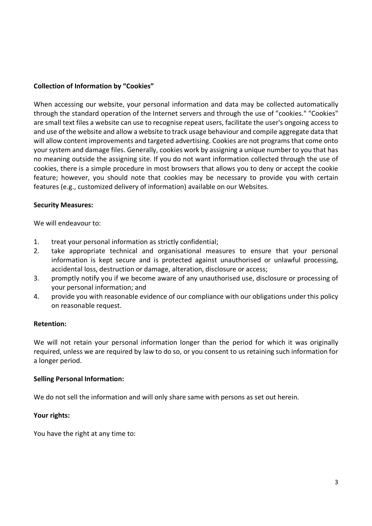# **Collection of Information by "Cookies"**

When accessing our website, your personal information and data may be collected automatically through the standard operation of the Internet servers and through the use of "cookies." "Cookies" are small text files a website can use to recognise repeat users, facilitate the user's ongoing access to and use of the website and allow a website to track usage behaviour and compile aggregate data that will allow content improvements and targeted advertising. Cookies are not programs that come onto your system and damage files. Generally, cookies work by assigning a unique number to you that has no meaning outside the assigning site. If you do not want information collected through the use of cookies, there is a simple procedure in most browsers that allows you to deny or accept the cookie feature; however, you should note that cookies may be necessary to provide you with certain features (e.g., customized delivery of information) available on our Websites.

#### **Security Measures:**

We will endeavour to:

- 1. treat your personal information as strictly confidential;
- 2. take appropriate technical and organisational measures to ensure that your personal information is kept secure and is protected against unauthorised or unlawful processing, accidental loss, destruction or damage, alteration, disclosure or access;
- 3. promptly notify you if we become aware of any unauthorised use, disclosure or processing of your personal information; and
- 4. provide you with reasonable evidence of our compliance with our obligations under this policy on reasonable request.

#### **Retention:**

We will not retain your personal information longer than the period for which it was originally required, unless we are required by law to do so, or you consent to us retaining such information for a longer period.

#### **Selling Personal Information:**

We do not sell the information and will only share same with persons as set out herein.

# **Your rights:**

You have the right at any time to: